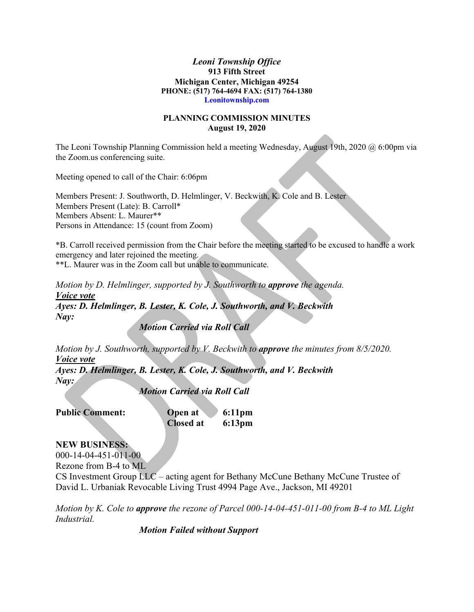## *Leoni Township Office* **913 Fifth Street Michigan Center, Michigan 49254 PHONE: (517) 764-4694 FAX: (517) 764-1380 Leonitownship.com**

## **PLANNING COMMISSION MINUTES August 19, 2020**

The Leoni Township Planning Commission held a meeting Wednesday, August 19th, 2020 @ 6:00pm via the Zoom.us conferencing suite.

Meeting opened to call of the Chair: 6:06pm

Members Present: J. Southworth, D. Helmlinger, V. Beckwith, K. Cole and B. Lester Members Present (Late): B. Carroll\* Members Absent: L. Maurer\*\* Persons in Attendance: 15 (count from Zoom)

\*B. Carroll received permission from the Chair before the meeting started to be excused to handle a work emergency and later rejoined the meeting. \*\*L. Maurer was in the Zoom call but unable to communicate.

*Motion by D. Helmlinger, supported by J. Southworth to approve the agenda.*

*Voice vote Ayes: D. Helmlinger, B. Lester, K. Cole, J. Southworth, and V. Beckwith Nay:*

*Motion Carried via Roll Call*

*Motion by J. Southworth, supported by V. Beckwith to approve the minutes from 8/5/2020. Voice vote*

*Ayes: D. Helmlinger, B. Lester, K. Cole, J. Southworth, and V. Beckwith Nay:*

*Motion Carried via Roll Call*

| <b>Public Comment:</b> | Open at   | $6:11 \text{pm}$ |
|------------------------|-----------|------------------|
|                        | Closed at | $6:13 \text{pm}$ |

## **NEW BUSINESS:**

000-14-04-451-011-00

Rezone from B-4 to ML

CS Investment Group LLC – acting agent for Bethany McCune Bethany McCune Trustee of David L. Urbaniak Revocable Living Trust 4994 Page Ave., Jackson, MI 49201

*Motion by K. Cole to approve the rezone of Parcel 000-14-04-451-011-00 from B-4 to ML Light Industrial.*

*Motion Failed without Support*